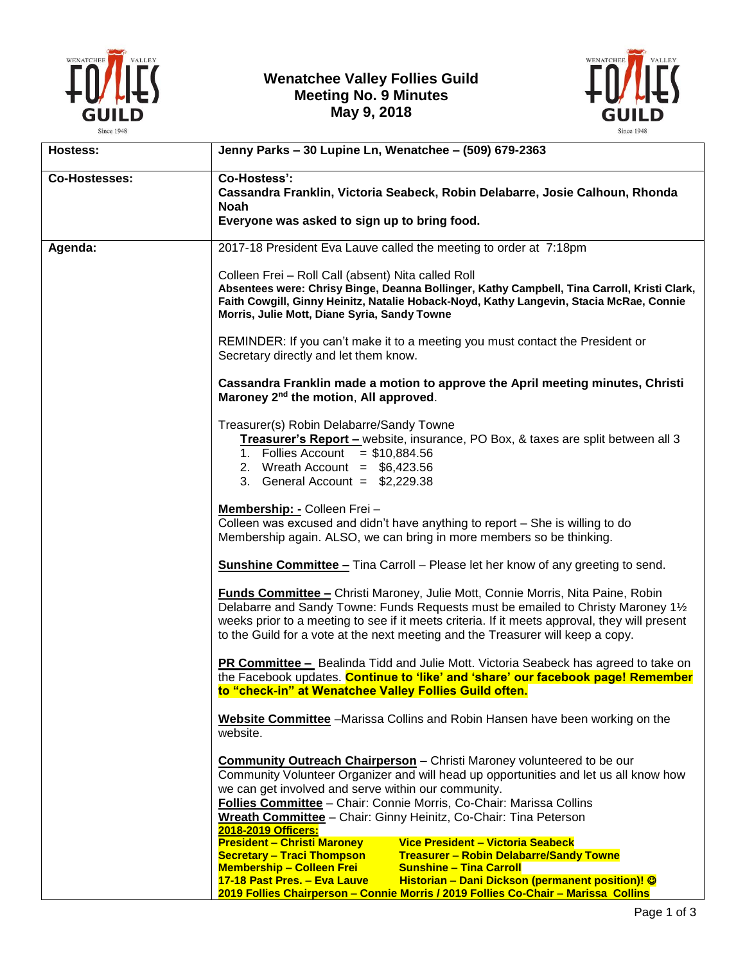

## **Wenatchee Valley Follies Guild Meeting No. 9 Minutes May 9, 2018**



| Hostess:             | Jenny Parks - 30 Lupine Ln, Wenatchee - (509) 679-2363                                                                                                                                                                                                                                                                                                                                                         |
|----------------------|----------------------------------------------------------------------------------------------------------------------------------------------------------------------------------------------------------------------------------------------------------------------------------------------------------------------------------------------------------------------------------------------------------------|
| <b>Co-Hostesses:</b> | <b>Co-Hostess':</b><br>Cassandra Franklin, Victoria Seabeck, Robin Delabarre, Josie Calhoun, Rhonda<br><b>Noah</b><br>Everyone was asked to sign up to bring food.                                                                                                                                                                                                                                             |
| Agenda:              | 2017-18 President Eva Lauve called the meeting to order at 7:18pm                                                                                                                                                                                                                                                                                                                                              |
|                      | Colleen Frei - Roll Call (absent) Nita called Roll<br>Absentees were: Chrisy Binge, Deanna Bollinger, Kathy Campbell, Tina Carroll, Kristi Clark,<br>Faith Cowgill, Ginny Heinitz, Natalie Hoback-Noyd, Kathy Langevin, Stacia McRae, Connie<br>Morris, Julie Mott, Diane Syria, Sandy Towne                                                                                                                   |
|                      | REMINDER: If you can't make it to a meeting you must contact the President or<br>Secretary directly and let them know.                                                                                                                                                                                                                                                                                         |
|                      | Cassandra Franklin made a motion to approve the April meeting minutes, Christi<br>Maroney 2 <sup>nd</sup> the motion, All approved.                                                                                                                                                                                                                                                                            |
|                      | Treasurer(s) Robin Delabarre/Sandy Towne<br>Treasurer's Report - website, insurance, PO Box, & taxes are split between all 3<br>1. Follies Account = $$10,884.56$<br>2. Wreath Account = $$6,423.56$<br>3. General Account = $$2,229.38$                                                                                                                                                                       |
|                      | Membership: - Colleen Frei -<br>Colleen was excused and didn't have anything to report - She is willing to do<br>Membership again. ALSO, we can bring in more members so be thinking.                                                                                                                                                                                                                          |
|                      | <b>Sunshine Committee - Tina Carroll - Please let her know of any greeting to send.</b>                                                                                                                                                                                                                                                                                                                        |
|                      | <b>Funds Committee - Christi Maroney, Julie Mott, Connie Morris, Nita Paine, Robin</b><br>Delabarre and Sandy Towne: Funds Requests must be emailed to Christy Maroney 11/2<br>weeks prior to a meeting to see if it meets criteria. If it meets approval, they will present<br>to the Guild for a vote at the next meeting and the Treasurer will keep a copy.                                                |
|                      | PR Committee - Bealinda Tidd and Julie Mott. Victoria Seabeck has agreed to take on<br>the Facebook updates. Continue to 'like' and 'share' our facebook page! Remember<br>to "check-in" at Wenatchee Valley Follies Guild often.                                                                                                                                                                              |
|                      | Website Committee - Marissa Collins and Robin Hansen have been working on the<br>website.                                                                                                                                                                                                                                                                                                                      |
|                      | <b>Community Outreach Chairperson - Christi Maroney volunteered to be our</b><br>Community Volunteer Organizer and will head up opportunities and let us all know how<br>we can get involved and serve within our community.<br>Follies Committee - Chair: Connie Morris, Co-Chair: Marissa Collins<br>Wreath Committee - Chair: Ginny Heinitz, Co-Chair: Tina Peterson<br>2018-2019 Officers:                 |
|                      | <b>President - Christi Maroney</b><br>Vice President - Victoria Seabeck<br><b>Secretary - Traci Thompson</b><br><b>Treasurer - Robin Delabarre/Sandy Towne</b><br><b>Membership - Colleen Frei</b><br><b>Sunshine - Tina Carroll</b><br>Historian - Dani Dickson (permanent position)! ©<br>17-18 Past Pres. - Eva Lauve<br>2019 Follies Chairperson - Connie Morris / 2019 Follies Co-Chair - Marissa Collins |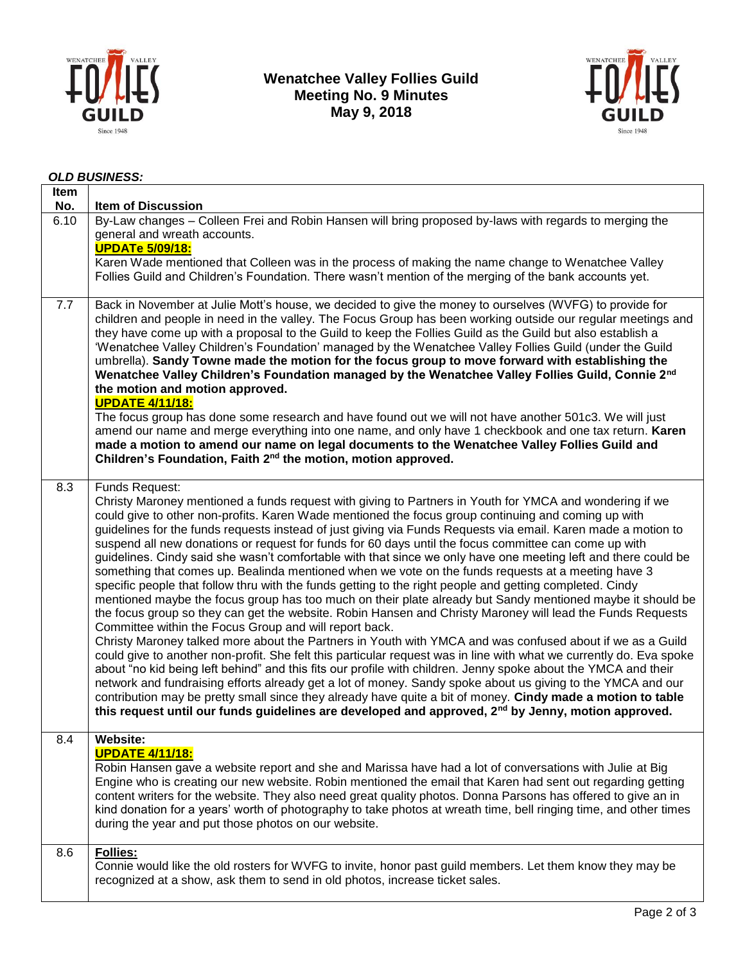

**Wenatchee Valley Follies Guild Meeting No. 9 Minutes May 9, 2018**



## *OLD BUSINESS:*

| Item<br>No. | <b>Item of Discussion</b>                                                                                                                                                                                                                                                                                                                                                                                                                                                                                                                                                                                                                                                                                                                                                                                                                                                                                                                                                                                                                                                                                                                                                                                                                                                                                                                                                                                                                                                                                                                                                                                                                                                                                                                                                                  |
|-------------|--------------------------------------------------------------------------------------------------------------------------------------------------------------------------------------------------------------------------------------------------------------------------------------------------------------------------------------------------------------------------------------------------------------------------------------------------------------------------------------------------------------------------------------------------------------------------------------------------------------------------------------------------------------------------------------------------------------------------------------------------------------------------------------------------------------------------------------------------------------------------------------------------------------------------------------------------------------------------------------------------------------------------------------------------------------------------------------------------------------------------------------------------------------------------------------------------------------------------------------------------------------------------------------------------------------------------------------------------------------------------------------------------------------------------------------------------------------------------------------------------------------------------------------------------------------------------------------------------------------------------------------------------------------------------------------------------------------------------------------------------------------------------------------------|
| 6.10        | By-Law changes - Colleen Frei and Robin Hansen will bring proposed by-laws with regards to merging the<br>general and wreath accounts.<br><b>UPDATe 5/09/18:</b>                                                                                                                                                                                                                                                                                                                                                                                                                                                                                                                                                                                                                                                                                                                                                                                                                                                                                                                                                                                                                                                                                                                                                                                                                                                                                                                                                                                                                                                                                                                                                                                                                           |
|             | Karen Wade mentioned that Colleen was in the process of making the name change to Wenatchee Valley<br>Follies Guild and Children's Foundation. There wasn't mention of the merging of the bank accounts yet.                                                                                                                                                                                                                                                                                                                                                                                                                                                                                                                                                                                                                                                                                                                                                                                                                                                                                                                                                                                                                                                                                                                                                                                                                                                                                                                                                                                                                                                                                                                                                                               |
| 7.7         | Back in November at Julie Mott's house, we decided to give the money to ourselves (WVFG) to provide for<br>children and people in need in the valley. The Focus Group has been working outside our regular meetings and<br>they have come up with a proposal to the Guild to keep the Follies Guild as the Guild but also establish a<br>'Wenatchee Valley Children's Foundation' managed by the Wenatchee Valley Follies Guild (under the Guild<br>umbrella). Sandy Towne made the motion for the focus group to move forward with establishing the<br>Wenatchee Valley Children's Foundation managed by the Wenatchee Valley Follies Guild, Connie 2nd<br>the motion and motion approved.<br><b>UPDATE 4/11/18:</b><br>The focus group has done some research and have found out we will not have another 501c3. We will just<br>amend our name and merge everything into one name, and only have 1 checkbook and one tax return. Karen<br>made a motion to amend our name on legal documents to the Wenatchee Valley Follies Guild and<br>Children's Foundation, Faith 2 <sup>nd</sup> the motion, motion approved.                                                                                                                                                                                                                                                                                                                                                                                                                                                                                                                                                                                                                                                                     |
| 8.3         | Funds Request:<br>Christy Maroney mentioned a funds request with giving to Partners in Youth for YMCA and wondering if we<br>could give to other non-profits. Karen Wade mentioned the focus group continuing and coming up with<br>guidelines for the funds requests instead of just giving via Funds Requests via email. Karen made a motion to<br>suspend all new donations or request for funds for 60 days until the focus committee can come up with<br>guidelines. Cindy said she wasn't comfortable with that since we only have one meeting left and there could be<br>something that comes up. Bealinda mentioned when we vote on the funds requests at a meeting have 3<br>specific people that follow thru with the funds getting to the right people and getting completed. Cindy<br>mentioned maybe the focus group has too much on their plate already but Sandy mentioned maybe it should be<br>the focus group so they can get the website. Robin Hansen and Christy Maroney will lead the Funds Requests<br>Committee within the Focus Group and will report back.<br>Christy Maroney talked more about the Partners in Youth with YMCA and was confused about if we as a Guild<br>could give to another non-profit. She felt this particular request was in line with what we currently do. Eva spoke<br>about "no kid being left behind" and this fits our profile with children. Jenny spoke about the YMCA and their<br>network and fundraising efforts already get a lot of money. Sandy spoke about us giving to the YMCA and our<br>contribution may be pretty small since they already have quite a bit of money. Cindy made a motion to table<br>this request until our funds guidelines are developed and approved, 2 <sup>nd</sup> by Jenny, motion approved. |
| 8.4         | <b>Website:</b><br><b>UPDATE 4/11/18:</b><br>Robin Hansen gave a website report and she and Marissa have had a lot of conversations with Julie at Big<br>Engine who is creating our new website. Robin mentioned the email that Karen had sent out regarding getting<br>content writers for the website. They also need great quality photos. Donna Parsons has offered to give an in<br>kind donation for a years' worth of photography to take photos at wreath time, bell ringing time, and other times<br>during the year and put those photos on our website.                                                                                                                                                                                                                                                                                                                                                                                                                                                                                                                                                                                                                                                                                                                                                                                                                                                                                                                                                                                                                                                                                                                                                                                                                         |
| 8.6         | <b>Follies:</b><br>Connie would like the old rosters for WVFG to invite, honor past guild members. Let them know they may be<br>recognized at a show, ask them to send in old photos, increase ticket sales.                                                                                                                                                                                                                                                                                                                                                                                                                                                                                                                                                                                                                                                                                                                                                                                                                                                                                                                                                                                                                                                                                                                                                                                                                                                                                                                                                                                                                                                                                                                                                                               |